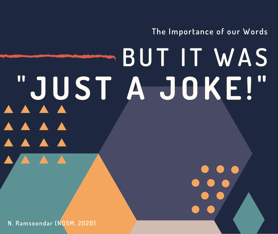**The Importance of our Words**

# **BUT I T WAS " JUS T A JOKE !" AAAA AA**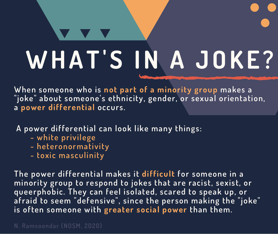## **WHAT ' S IN A JOKE ?**

**When someone who is not part of a minority group makes a "joke" about someone's ethnicity, gender, or sexual orientation, a power differential occurs.**

**A power differential can look like many things:**

- **- white privilege**
- **- heteronormativity**
- **- toxic masculinity**

**The power differential makes it difficult for someone in a minority group to respond to jokes that are racist, sexist, or queerphobic. They can feel isolated, scared to speak up, or afraid to seem "defensive", since the person making the "joke" is often someone with greater social power than them.**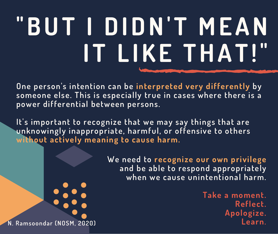## **"BUT I DIDN' T MEAN I T L IKE THAT !"**

**One person's intention can be interpreted very differently by someone else. This is especially true in cases where there is a power differential between persons.**

**It's important to recognize that we may say things that are unknowingly inappropriate, harmful, or offensive to others without actively meaning to cause harm.**

> **We need to recognize our own privilege and be able to respond appropriately when we cause unintentional harm.**

**Take a moment. Reflect. Apologize. N Learn. . Ramsoondar (NOSM, 2020)**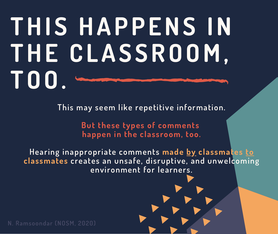#### **THI S HAPPENS IN THE CLAS SROOM, TOO.**

**This may seem like repetitive information.**

**But these types of comments happen in the classroom, too.**

**Hearing inappropriate comments made by classmates to classmates creates an unsafe, disruptive, and unwelcoming environment for learners.**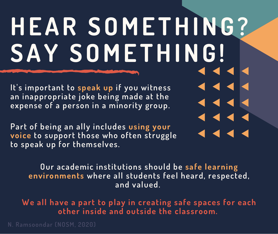## **HEAR SOME THING? SAY SOME THING!**

**It's important to speak up if you witness an inappropriate joke being made at the expense of a person in a minority group.**

**Part of being an ally includes using your voice to support those who often struggle to speak up for themselves.**

**Our academic institutions should be safe learning environments where all students feel heard, respected, and valued.**

**We all have a part to play in creating safe spaces for each other inside and outside the classroom.**